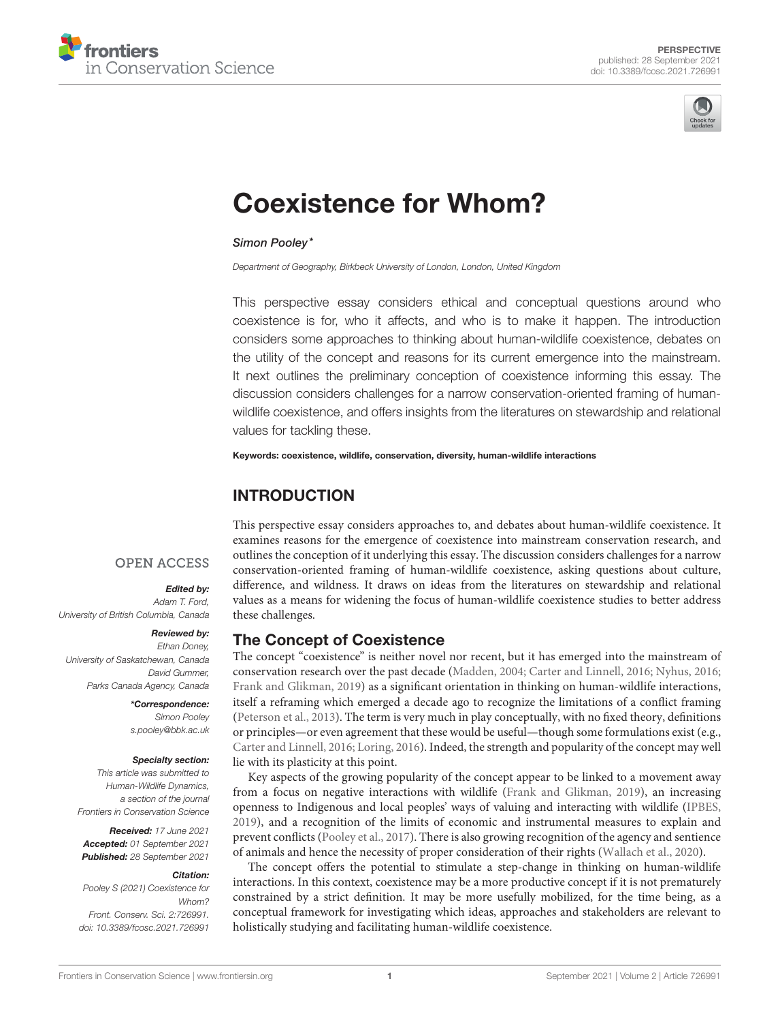



# [Coexistence for Whom?](https://www.frontiersin.org/articles/10.3389/fcosc.2021.726991/full)

#### Simon Pooley\*

*Department of Geography, Birkbeck University of London, London, United Kingdom*

This perspective essay considers ethical and conceptual questions around who coexistence is for, who it affects, and who is to make it happen. The introduction considers some approaches to thinking about human-wildlife coexistence, debates on the utility of the concept and reasons for its current emergence into the mainstream. It next outlines the preliminary conception of coexistence informing this essay. The discussion considers challenges for a narrow conservation-oriented framing of humanwildlife coexistence, and offers insights from the literatures on stewardship and relational values for tackling these.

Keywords: coexistence, wildlife, conservation, diversity, human-wildlife interactions

# INTRODUCTION

#### **OPEN ACCESS**

#### Edited by:

*Adam T. Ford, University of British Columbia, Canada*

#### Reviewed by:

*Ethan Doney, University of Saskatchewan, Canada David Gummer, Parks Canada Agency, Canada*

> \*Correspondence: *Simon Pooley [s.pooley@bbk.ac.uk](mailto:s.pooley@bbk.ac.uk)*

#### Specialty section:

*This article was submitted to Human-Wildlife Dynamics, a section of the journal Frontiers in Conservation Science*

Received: *17 June 2021* Accepted: *01 September 2021* Published: *28 September 2021*

#### Citation:

*Pooley S (2021) Coexistence for Whom? Front. Conserv. Sci. 2:726991. doi: [10.3389/fcosc.2021.726991](https://doi.org/10.3389/fcosc.2021.726991)*

This perspective essay considers approaches to, and debates about human-wildlife coexistence. It examines reasons for the emergence of coexistence into mainstream conservation research, and outlines the conception of it underlying this essay. The discussion considers challenges for a narrow conservation-oriented framing of human-wildlife coexistence, asking questions about culture, difference, and wildness. It draws on ideas from the literatures on stewardship and relational values as a means for widening the focus of human-wildlife coexistence studies to better address these challenges.

#### The Concept of Coexistence

The concept "coexistence" is neither novel nor recent, but it has emerged into the mainstream of conservation research over the past decade [\(Madden, 2004;](#page-5-0) [Carter and Linnell, 2016;](#page-4-0) [Nyhus, 2016;](#page-5-1) [Frank and Glikman, 2019\)](#page-5-2) as a significant orientation in thinking on human-wildlife interactions, itself a reframing which emerged a decade ago to recognize the limitations of a conflict framing [\(Peterson et al., 2013\)](#page-5-3). The term is very much in play conceptually, with no fixed theory, definitions or principles—or even agreement that these would be useful—though some formulations exist (e.g., [Carter and Linnell, 2016;](#page-4-0) [Loring, 2016\)](#page-5-4). Indeed, the strength and popularity of the concept may well lie with its plasticity at this point.

Key aspects of the growing popularity of the concept appear to be linked to a movement away from a focus on negative interactions with wildlife [\(Frank and Glikman, 2019\)](#page-5-2), an increasing openness to Indigenous and local peoples' ways of valuing and interacting with wildlife [\(IPBES,](#page-5-5) [2019\)](#page-5-5), and a recognition of the limits of economic and instrumental measures to explain and prevent conflicts [\(Pooley et al., 2017\)](#page-5-6). There is also growing recognition of the agency and sentience of animals and hence the necessity of proper consideration of their rights [\(Wallach et al., 2020\)](#page-6-0).

The concept offers the potential to stimulate a step-change in thinking on human-wildlife interactions. In this context, coexistence may be a more productive concept if it is not prematurely constrained by a strict definition. It may be more usefully mobilized, for the time being, as a conceptual framework for investigating which ideas, approaches and stakeholders are relevant to holistically studying and facilitating human-wildlife coexistence.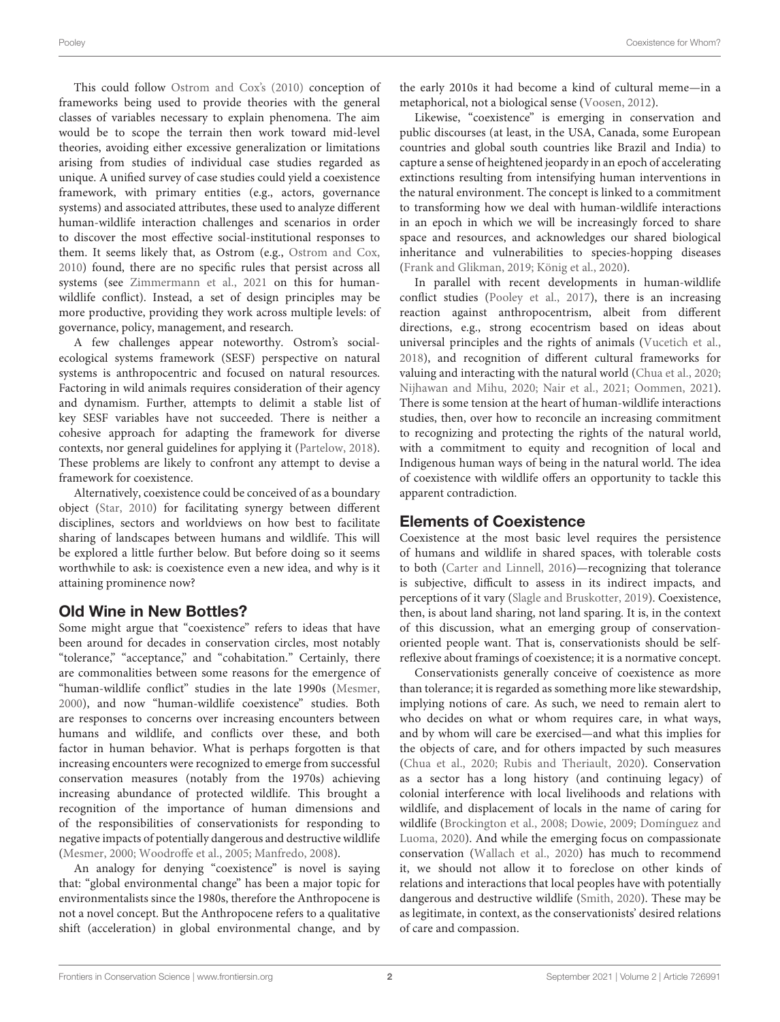This could follow [Ostrom and Cox's \(2010\)](#page-5-7) conception of frameworks being used to provide theories with the general classes of variables necessary to explain phenomena. The aim would be to scope the terrain then work toward mid-level theories, avoiding either excessive generalization or limitations arising from studies of individual case studies regarded as unique. A unified survey of case studies could yield a coexistence framework, with primary entities (e.g., actors, governance systems) and associated attributes, these used to analyze different human-wildlife interaction challenges and scenarios in order to discover the most effective social-institutional responses to them. It seems likely that, as Ostrom (e.g., [Ostrom and Cox,](#page-5-7) [2010\)](#page-5-7) found, there are no specific rules that persist across all systems (see [Zimmermann et al., 2021](#page-6-1) on this for humanwildlife conflict). Instead, a set of design principles may be more productive, providing they work across multiple levels: of governance, policy, management, and research.

A few challenges appear noteworthy. Ostrom's socialecological systems framework (SESF) perspective on natural systems is anthropocentric and focused on natural resources. Factoring in wild animals requires consideration of their agency and dynamism. Further, attempts to delimit a stable list of key SESF variables have not succeeded. There is neither a cohesive approach for adapting the framework for diverse contexts, nor general guidelines for applying it [\(Partelow, 2018\)](#page-5-8). These problems are likely to confront any attempt to devise a framework for coexistence.

Alternatively, coexistence could be conceived of as a boundary object [\(Star, 2010\)](#page-5-9) for facilitating synergy between different disciplines, sectors and worldviews on how best to facilitate sharing of landscapes between humans and wildlife. This will be explored a little further below. But before doing so it seems worthwhile to ask: is coexistence even a new idea, and why is it attaining prominence now?

## Old Wine in New Bottles?

Some might argue that "coexistence" refers to ideas that have been around for decades in conservation circles, most notably "tolerance," "acceptance," and "cohabitation." Certainly, there are commonalities between some reasons for the emergence of "human-wildlife conflict" studies in the late 1990s [\(Mesmer,](#page-5-10) [2000\)](#page-5-10), and now "human-wildlife coexistence" studies. Both are responses to concerns over increasing encounters between humans and wildlife, and conflicts over these, and both factor in human behavior. What is perhaps forgotten is that increasing encounters were recognized to emerge from successful conservation measures (notably from the 1970s) achieving increasing abundance of protected wildlife. This brought a recognition of the importance of human dimensions and of the responsibilities of conservationists for responding to negative impacts of potentially dangerous and destructive wildlife [\(Mesmer, 2000;](#page-5-10) [Woodroffe et al., 2005;](#page-6-2) [Manfredo, 2008\)](#page-5-11).

An analogy for denying "coexistence" is novel is saying that: "global environmental change" has been a major topic for environmentalists since the 1980s, therefore the Anthropocene is not a novel concept. But the Anthropocene refers to a qualitative shift (acceleration) in global environmental change, and by the early 2010s it had become a kind of cultural meme—in a metaphorical, not a biological sense [\(Voosen, 2012\)](#page-5-12).

Likewise, "coexistence" is emerging in conservation and public discourses (at least, in the USA, Canada, some European countries and global south countries like Brazil and India) to capture a sense of heightened jeopardy in an epoch of accelerating extinctions resulting from intensifying human interventions in the natural environment. The concept is linked to a commitment to transforming how we deal with human-wildlife interactions in an epoch in which we will be increasingly forced to share space and resources, and acknowledges our shared biological inheritance and vulnerabilities to species-hopping diseases [\(Frank and Glikman, 2019;](#page-5-2) [König et al., 2020\)](#page-5-13).

In parallel with recent developments in human-wildlife conflict studies [\(Pooley et al., 2017\)](#page-5-6), there is an increasing reaction against anthropocentrism, albeit from different directions, e.g., strong ecocentrism based on ideas about universal principles and the rights of animals [\(Vucetich et al.,](#page-6-3) [2018\)](#page-6-3), and recognition of different cultural frameworks for valuing and interacting with the natural world [\(Chua et al., 2020;](#page-4-1) [Nijhawan and Mihu, 2020;](#page-5-14) [Nair et al., 2021;](#page-5-15) [Oommen, 2021\)](#page-5-16). There is some tension at the heart of human-wildlife interactions studies, then, over how to reconcile an increasing commitment to recognizing and protecting the rights of the natural world, with a commitment to equity and recognition of local and Indigenous human ways of being in the natural world. The idea of coexistence with wildlife offers an opportunity to tackle this apparent contradiction.

## Elements of Coexistence

Coexistence at the most basic level requires the persistence of humans and wildlife in shared spaces, with tolerable costs to both [\(Carter and Linnell, 2016\)](#page-4-0)—recognizing that tolerance is subjective, difficult to assess in its indirect impacts, and perceptions of it vary [\(Slagle and Bruskotter, 2019\)](#page-5-17). Coexistence, then, is about land sharing, not land sparing. It is, in the context of this discussion, what an emerging group of conservationoriented people want. That is, conservationists should be selfreflexive about framings of coexistence; it is a normative concept.

Conservationists generally conceive of coexistence as more than tolerance; it is regarded as something more like stewardship, implying notions of care. As such, we need to remain alert to who decides on what or whom requires care, in what ways, and by whom will care be exercised—and what this implies for the objects of care, and for others impacted by such measures [\(Chua et al., 2020;](#page-4-1) [Rubis and Theriault, 2020\)](#page-5-18). Conservation as a sector has a long history (and continuing legacy) of colonial interference with local livelihoods and relations with wildlife, and displacement of locals in the name of caring for wildlife [\(Brockington et al., 2008;](#page-4-2) [Dowie, 2009;](#page-4-3) Domínguez and Luoma, [2020\)](#page-4-4). And while the emerging focus on compassionate conservation [\(Wallach et al., 2020\)](#page-6-0) has much to recommend it, we should not allow it to foreclose on other kinds of relations and interactions that local peoples have with potentially dangerous and destructive wildlife [\(Smith, 2020\)](#page-5-19). These may be as legitimate, in context, as the conservationists' desired relations of care and compassion.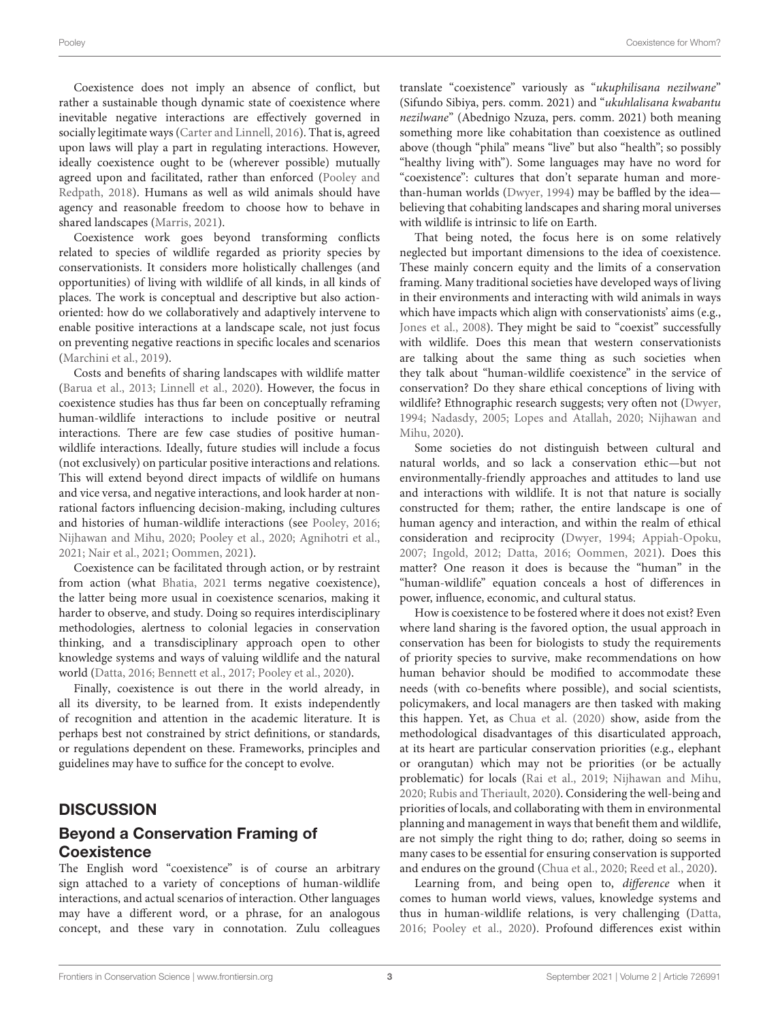Coexistence does not imply an absence of conflict, but rather a sustainable though dynamic state of coexistence where inevitable negative interactions are effectively governed in socially legitimate ways [\(Carter and Linnell, 2016\)](#page-4-0). That is, agreed upon laws will play a part in regulating interactions. However, ideally coexistence ought to be (wherever possible) mutually agreed upon and facilitated, rather than enforced (Pooley and Redpath, [2018\)](#page-5-20). Humans as well as wild animals should have agency and reasonable freedom to choose how to behave in shared landscapes [\(Marris, 2021\)](#page-5-21).

Coexistence work goes beyond transforming conflicts related to species of wildlife regarded as priority species by conservationists. It considers more holistically challenges (and opportunities) of living with wildlife of all kinds, in all kinds of places. The work is conceptual and descriptive but also actionoriented: how do we collaboratively and adaptively intervene to enable positive interactions at a landscape scale, not just focus on preventing negative reactions in specific locales and scenarios [\(Marchini et al., 2019\)](#page-5-22).

Costs and benefits of sharing landscapes with wildlife matter [\(Barua et al., 2013;](#page-4-5) [Linnell et al., 2020\)](#page-5-23). However, the focus in coexistence studies has thus far been on conceptually reframing human-wildlife interactions to include positive or neutral interactions. There are few case studies of positive humanwildlife interactions. Ideally, future studies will include a focus (not exclusively) on particular positive interactions and relations. This will extend beyond direct impacts of wildlife on humans and vice versa, and negative interactions, and look harder at nonrational factors influencing decision-making, including cultures and histories of human-wildlife interactions (see [Pooley, 2016;](#page-5-24) [Nijhawan and Mihu, 2020;](#page-5-14) [Pooley et al., 2020;](#page-5-25) [Agnihotri et al.,](#page-4-6) [2021;](#page-4-6) [Nair et al., 2021;](#page-5-15) [Oommen, 2021\)](#page-5-16).

Coexistence can be facilitated through action, or by restraint from action (what [Bhatia, 2021](#page-4-7) terms negative coexistence), the latter being more usual in coexistence scenarios, making it harder to observe, and study. Doing so requires interdisciplinary methodologies, alertness to colonial legacies in conservation thinking, and a transdisciplinary approach open to other knowledge systems and ways of valuing wildlife and the natural world [\(Datta, 2016;](#page-4-8) [Bennett et al., 2017;](#page-4-9) [Pooley et al., 2020\)](#page-5-25).

Finally, coexistence is out there in the world already, in all its diversity, to be learned from. It exists independently of recognition and attention in the academic literature. It is perhaps best not constrained by strict definitions, or standards, or regulations dependent on these. Frameworks, principles and guidelines may have to suffice for the concept to evolve.

#### **DISCUSSION**

# Beyond a Conservation Framing of **Coexistence**

The English word "coexistence" is of course an arbitrary sign attached to a variety of conceptions of human-wildlife interactions, and actual scenarios of interaction. Other languages may have a different word, or a phrase, for an analogous concept, and these vary in connotation. Zulu colleagues translate "coexistence" variously as "ukuphilisana nezilwane" (Sifundo Sibiya, pers. comm. 2021) and "ukuhlalisana kwabantu nezilwane" (Abednigo Nzuza, pers. comm. 2021) both meaning something more like cohabitation than coexistence as outlined above (though "phila" means "live" but also "health"; so possibly "healthy living with"). Some languages may have no word for "coexistence": cultures that don't separate human and morethan-human worlds [\(Dwyer, 1994\)](#page-4-10) may be baffled by the idea believing that cohabiting landscapes and sharing moral universes with wildlife is intrinsic to life on Earth.

That being noted, the focus here is on some relatively neglected but important dimensions to the idea of coexistence. These mainly concern equity and the limits of a conservation framing. Many traditional societies have developed ways of living in their environments and interacting with wild animals in ways which have impacts which align with conservationists' aims (e.g., [Jones et al., 2008\)](#page-5-26). They might be said to "coexist" successfully with wildlife. Does this mean that western conservationists are talking about the same thing as such societies when they talk about "human-wildlife coexistence" in the service of conservation? Do they share ethical conceptions of living with wildlife? Ethnographic research suggests; very often not [\(Dwyer,](#page-4-10) [1994;](#page-4-10) [Nadasdy, 2005;](#page-5-27) [Lopes and Atallah, 2020;](#page-5-28) Nijhawan and Mihu, [2020\)](#page-5-14).

Some societies do not distinguish between cultural and natural worlds, and so lack a conservation ethic—but not environmentally-friendly approaches and attitudes to land use and interactions with wildlife. It is not that nature is socially constructed for them; rather, the entire landscape is one of human agency and interaction, and within the realm of ethical consideration and reciprocity [\(Dwyer, 1994;](#page-4-10) [Appiah-Opoku,](#page-4-11) [2007;](#page-4-11) [Ingold, 2012;](#page-5-29) [Datta, 2016;](#page-4-8) [Oommen, 2021\)](#page-5-16). Does this matter? One reason it does is because the "human" in the "human-wildlife" equation conceals a host of differences in power, influence, economic, and cultural status.

How is coexistence to be fostered where it does not exist? Even where land sharing is the favored option, the usual approach in conservation has been for biologists to study the requirements of priority species to survive, make recommendations on how human behavior should be modified to accommodate these needs (with co-benefits where possible), and social scientists, policymakers, and local managers are then tasked with making this happen. Yet, as [Chua et al. \(2020\)](#page-4-1) show, aside from the methodological disadvantages of this disarticulated approach, at its heart are particular conservation priorities (e.g., elephant or orangutan) which may not be priorities (or be actually problematic) for locals [\(Rai et al., 2019;](#page-5-30) [Nijhawan and Mihu,](#page-5-14) [2020;](#page-5-14) [Rubis and Theriault, 2020\)](#page-5-18). Considering the well-being and priorities of locals, and collaborating with them in environmental planning and management in ways that benefit them and wildlife, are not simply the right thing to do; rather, doing so seems in many cases to be essential for ensuring conservation is supported and endures on the ground [\(Chua et al., 2020;](#page-4-1) [Reed et al., 2020\)](#page-5-31).

Learning from, and being open to, difference when it comes to human world views, values, knowledge systems and thus in human-wildlife relations, is very challenging [\(Datta,](#page-4-8) [2016;](#page-4-8) [Pooley et al., 2020\)](#page-5-25). Profound differences exist within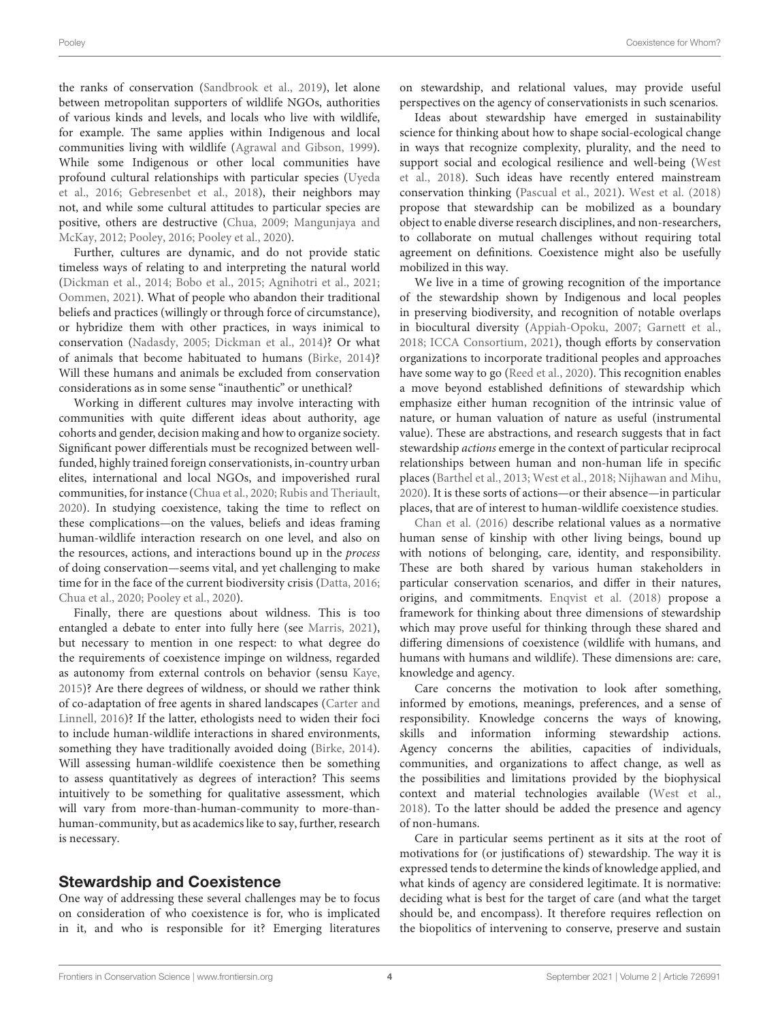the ranks of conservation [\(Sandbrook et al., 2019\)](#page-5-32), let alone between metropolitan supporters of wildlife NGOs, authorities of various kinds and levels, and locals who live with wildlife, for example. The same applies within Indigenous and local communities living with wildlife [\(Agrawal and Gibson, 1999\)](#page-4-12). While some Indigenous or other local communities have profound cultural relationships with particular species (Uyeda et al., [2016;](#page-5-33) [Gebresenbet et al., 2018\)](#page-5-34), their neighbors may not, and while some cultural attitudes to particular species are positive, others are destructive [\(Chua, 2009;](#page-4-13) Mangunjaya and McKay, [2012;](#page-5-35) [Pooley, 2016;](#page-5-24) [Pooley et al., 2020\)](#page-5-25).

Further, cultures are dynamic, and do not provide static timeless ways of relating to and interpreting the natural world [\(Dickman et al., 2014;](#page-4-14) [Bobo et al., 2015;](#page-4-15) [Agnihotri et al., 2021;](#page-4-6) [Oommen, 2021\)](#page-5-16). What of people who abandon their traditional beliefs and practices (willingly or through force of circumstance), or hybridize them with other practices, in ways inimical to conservation [\(Nadasdy, 2005;](#page-5-27) [Dickman et al., 2014\)](#page-4-14)? Or what of animals that become habituated to humans [\(Birke, 2014\)](#page-4-16)? Will these humans and animals be excluded from conservation considerations as in some sense "inauthentic" or unethical?

Working in different cultures may involve interacting with communities with quite different ideas about authority, age cohorts and gender, decision making and how to organize society. Significant power differentials must be recognized between wellfunded, highly trained foreign conservationists, in-country urban elites, international and local NGOs, and impoverished rural communities, for instance [\(Chua et al., 2020;](#page-4-1) [Rubis and Theriault,](#page-5-18) [2020\)](#page-5-18). In studying coexistence, taking the time to reflect on these complications—on the values, beliefs and ideas framing human-wildlife interaction research on one level, and also on the resources, actions, and interactions bound up in the process of doing conservation—seems vital, and yet challenging to make time for in the face of the current biodiversity crisis [\(Datta, 2016;](#page-4-8) [Chua et al., 2020;](#page-4-1) [Pooley et al., 2020\)](#page-5-25).

Finally, there are questions about wildness. This is too entangled a debate to enter into fully here (see [Marris, 2021\)](#page-5-21), but necessary to mention in one respect: to what degree do the requirements of coexistence impinge on wildness, regarded as autonomy from external controls on behavior (sensu [Kaye,](#page-5-36) [2015\)](#page-5-36)? Are there degrees of wildness, or should we rather think of co-adaptation of free agents in shared landscapes (Carter and Linnell, [2016\)](#page-4-0)? If the latter, ethologists need to widen their foci to include human-wildlife interactions in shared environments, something they have traditionally avoided doing [\(Birke, 2014\)](#page-4-16). Will assessing human-wildlife coexistence then be something to assess quantitatively as degrees of interaction? This seems intuitively to be something for qualitative assessment, which will vary from more-than-human-community to more-thanhuman-community, but as academics like to say, further, research is necessary.

#### Stewardship and Coexistence

One way of addressing these several challenges may be to focus on consideration of who coexistence is for, who is implicated in it, and who is responsible for it? Emerging literatures on stewardship, and relational values, may provide useful perspectives on the agency of conservationists in such scenarios.

Ideas about stewardship have emerged in sustainability science for thinking about how to shape social-ecological change in ways that recognize complexity, plurality, and the need to support social and ecological resilience and well-being (West et al., [2018\)](#page-6-4). Such ideas have recently entered mainstream conservation thinking [\(Pascual et al., 2021\)](#page-5-37). [West et al. \(2018\)](#page-6-4) propose that stewardship can be mobilized as a boundary object to enable diverse research disciplines, and non-researchers, to collaborate on mutual challenges without requiring total agreement on definitions. Coexistence might also be usefully mobilized in this way.

We live in a time of growing recognition of the importance of the stewardship shown by Indigenous and local peoples in preserving biodiversity, and recognition of notable overlaps in biocultural diversity [\(Appiah-Opoku, 2007;](#page-4-11) [Garnett et al.,](#page-5-38) [2018;](#page-5-38) [ICCA Consortium, 2021\)](#page-5-39), though efforts by conservation organizations to incorporate traditional peoples and approaches have some way to go [\(Reed et al., 2020\)](#page-5-31). This recognition enables a move beyond established definitions of stewardship which emphasize either human recognition of the intrinsic value of nature, or human valuation of nature as useful (instrumental value). These are abstractions, and research suggests that in fact stewardship actions emerge in the context of particular reciprocal relationships between human and non-human life in specific places [\(Barthel et al., 2013;](#page-4-17) [West et al., 2018;](#page-6-4) [Nijhawan and Mihu,](#page-5-14) [2020\)](#page-5-14). It is these sorts of actions—or their absence—in particular places, that are of interest to human-wildlife coexistence studies.

[Chan et al. \(2016\)](#page-4-18) describe relational values as a normative human sense of kinship with other living beings, bound up with notions of belonging, care, identity, and responsibility. These are both shared by various human stakeholders in particular conservation scenarios, and differ in their natures, origins, and commitments. [Enqvist et al. \(2018\)](#page-4-19) propose a framework for thinking about three dimensions of stewardship which may prove useful for thinking through these shared and differing dimensions of coexistence (wildlife with humans, and humans with humans and wildlife). These dimensions are: care, knowledge and agency.

Care concerns the motivation to look after something, informed by emotions, meanings, preferences, and a sense of responsibility. Knowledge concerns the ways of knowing, skills and information informing stewardship actions. Agency concerns the abilities, capacities of individuals, communities, and organizations to affect change, as well as the possibilities and limitations provided by the biophysical context and material technologies available [\(West et al.,](#page-6-4) [2018\)](#page-6-4). To the latter should be added the presence and agency of non-humans.

Care in particular seems pertinent as it sits at the root of motivations for (or justifications of) stewardship. The way it is expressed tends to determine the kinds of knowledge applied, and what kinds of agency are considered legitimate. It is normative: deciding what is best for the target of care (and what the target should be, and encompass). It therefore requires reflection on the biopolitics of intervening to conserve, preserve and sustain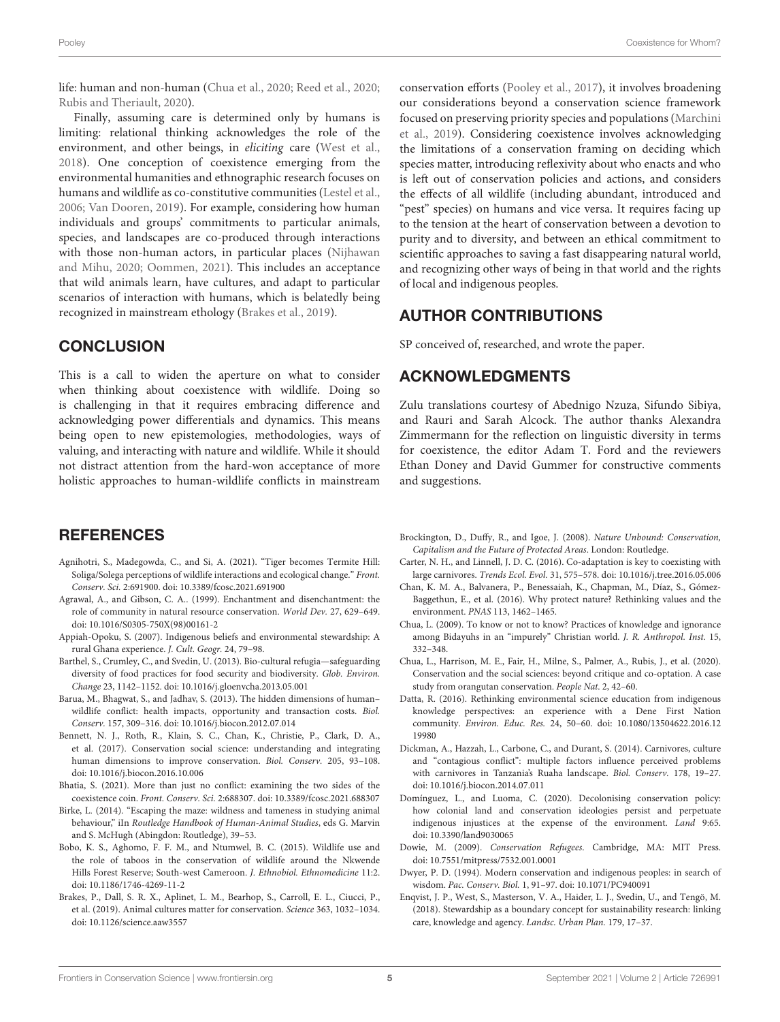life: human and non-human [\(Chua et al., 2020;](#page-4-1) [Reed et al., 2020;](#page-5-31) [Rubis and Theriault, 2020\)](#page-5-18).

Finally, assuming care is determined only by humans is limiting: relational thinking acknowledges the role of the environment, and other beings, in eliciting care [\(West et al.,](#page-6-4) [2018\)](#page-6-4). One conception of coexistence emerging from the environmental humanities and ethnographic research focuses on humans and wildlife as co-constitutive communities [\(Lestel et al.,](#page-5-40) [2006;](#page-5-40) [Van Dooren, 2019\)](#page-5-41). For example, considering how human individuals and groups' commitments to particular animals, species, and landscapes are co-produced through interactions with those non-human actors, in particular places (Nijhawan and Mihu, [2020;](#page-5-14) [Oommen, 2021\)](#page-5-16). This includes an acceptance that wild animals learn, have cultures, and adapt to particular scenarios of interaction with humans, which is belatedly being recognized in mainstream ethology [\(Brakes et al., 2019\)](#page-4-20).

# **CONCLUSION**

This is a call to widen the aperture on what to consider when thinking about coexistence with wildlife. Doing so is challenging in that it requires embracing difference and acknowledging power differentials and dynamics. This means being open to new epistemologies, methodologies, ways of valuing, and interacting with nature and wildlife. While it should not distract attention from the hard-won acceptance of more holistic approaches to human-wildlife conflicts in mainstream

## **REFERENCES**

- <span id="page-4-6"></span>Agnihotri, S., Madegowda, C., and Si, A. (2021). "Tiger becomes Termite Hill: Soliga/Solega perceptions of wildlife interactions and ecological change." Front. Conserv. Sci. 2:691900. doi: [10.3389/fcosc.2021.691900](https://doi.org/10.3389/fcosc.2021.691900)
- <span id="page-4-12"></span>Agrawal, A., and Gibson, C. A.. (1999). Enchantment and disenchantment: the role of community in natural resource conservation. World Dev. 27, 629–649. doi: [10.1016/S0305-750X\(98\)00161-2](https://doi.org/10.1016/S0305-750X(98)00161-2)
- <span id="page-4-11"></span>Appiah-Opoku, S. (2007). Indigenous beliefs and environmental stewardship: A rural Ghana experience. J. Cult. Geogr. 24, 79–98.
- <span id="page-4-17"></span>Barthel, S., Crumley, C., and Svedin, U. (2013). Bio-cultural refugia—safeguarding diversity of food practices for food security and biodiversity. Glob. Environ. Change 23, 1142–1152. doi: [10.1016/j.gloenvcha.2013.05.001](https://doi.org/10.1016/j.gloenvcha.2013.05.001)
- <span id="page-4-5"></span>Barua, M., Bhagwat, S., and Jadhav, S. (2013). The hidden dimensions of human– wildlife conflict: health impacts, opportunity and transaction costs. Biol. Conserv. 157, 309–316. doi: [10.1016/j.biocon.2012.07.014](https://doi.org/10.1016/j.biocon.2012.07.014)
- <span id="page-4-9"></span>Bennett, N. J., Roth, R., Klain, S. C., Chan, K., Christie, P., Clark, D. A., et al. (2017). Conservation social science: understanding and integrating human dimensions to improve conservation. Biol. Conserv. 205, 93–108. doi: [10.1016/j.biocon.2016.10.006](https://doi.org/10.1016/j.biocon.2016.10.006)
- <span id="page-4-7"></span>Bhatia, S. (2021). More than just no conflict: examining the two sides of the coexistence coin. Front. Conserv. Sci. 2:688307. doi: [10.3389/fcosc.2021.688307](https://doi.org/10.3389/fcosc.2021.688307)
- <span id="page-4-16"></span>Birke, L. (2014). "Escaping the maze: wildness and tameness in studying animal behaviour," iIn Routledge Handbook of Human-Animal Studies, eds G. Marvin and S. McHugh (Abingdon: Routledge), 39–53.
- <span id="page-4-15"></span>Bobo, K. S., Aghomo, F. F. M., and Ntumwel, B. C. (2015). Wildlife use and the role of taboos in the conservation of wildlife around the Nkwende Hills Forest Reserve; South-west Cameroon. J. Ethnobiol. Ethnomedicine 11:2. doi: [10.1186/1746-4269-11-2](https://doi.org/10.1186/1746-4269-11-2)
- <span id="page-4-20"></span>Brakes, P., Dall, S. R. X., Aplinet, L. M., Bearhop, S., Carroll, E. L., Ciucci, P., et al. (2019). Animal cultures matter for conservation. Science 363, 1032–1034. doi: [10.1126/science.aaw3557](https://doi.org/10.1126/science.aaw3557)

conservation efforts [\(Pooley et al., 2017\)](#page-5-6), it involves broadening our considerations beyond a conservation science framework focused on preserving priority species and populations (Marchini et al., [2019\)](#page-5-22). Considering coexistence involves acknowledging the limitations of a conservation framing on deciding which species matter, introducing reflexivity about who enacts and who is left out of conservation policies and actions, and considers the effects of all wildlife (including abundant, introduced and "pest" species) on humans and vice versa. It requires facing up to the tension at the heart of conservation between a devotion to purity and to diversity, and between an ethical commitment to scientific approaches to saving a fast disappearing natural world, and recognizing other ways of being in that world and the rights of local and indigenous peoples.

## AUTHOR CONTRIBUTIONS

SP conceived of, researched, and wrote the paper.

#### ACKNOWLEDGMENTS

Zulu translations courtesy of Abednigo Nzuza, Sifundo Sibiya, and Rauri and Sarah Alcock. The author thanks Alexandra Zimmermann for the reflection on linguistic diversity in terms for coexistence, the editor Adam T. Ford and the reviewers Ethan Doney and David Gummer for constructive comments and suggestions.

- <span id="page-4-2"></span>Brockington, D., Duffy, R., and Igoe, J. (2008). Nature Unbound: Conservation, Capitalism and the Future of Protected Areas. London: Routledge.
- <span id="page-4-0"></span>Carter, N. H., and Linnell, J. D. C. (2016). Co-adaptation is key to coexisting with large carnivores. Trends Ecol. Evol. 31, 575–578. doi: [10.1016/j.tree.2016.05.006](https://doi.org/10.1016/j.tree.2016.05.006)
- <span id="page-4-18"></span>Chan, K. M. A., Balvanera, P., Benessaiah, K., Chapman, M., Díaz, S., Gómez-Baggethun, E., et al. (2016). Why protect nature? Rethinking values and the environment. PNAS 113, 1462–1465.
- <span id="page-4-13"></span>Chua, L. (2009). To know or not to know? Practices of knowledge and ignorance among Bidayuhs in an "impurely" Christian world. J. R. Anthropol. Inst. 15, 332–348.
- <span id="page-4-1"></span>Chua, L., Harrison, M. E., Fair, H., Milne, S., Palmer, A., Rubis, J., et al. (2020). Conservation and the social sciences: beyond critique and co-optation. A case study from orangutan conservation. People Nat. 2, 42–60.
- <span id="page-4-8"></span>Datta, R. (2016). Rethinking environmental science education from indigenous knowledge perspectives: an experience with a Dene First Nation community. Environ. Educ. Res. [24, 50–60. doi: 10.1080/13504622.2016.12](https://doi.org/10.1080/13504622.2016.1219980) 19980
- <span id="page-4-14"></span>Dickman, A., Hazzah, L., Carbone, C., and Durant, S. (2014). Carnivores, culture and "contagious conflict": multiple factors influence perceived problems with carnivores in Tanzania's Ruaha landscape. Biol. Conserv. 178, 19–27. doi: [10.1016/j.biocon.2014.07.011](https://doi.org/10.1016/j.biocon.2014.07.011)
- <span id="page-4-4"></span>Domínguez, L., and Luoma, C. (2020). Decolonising conservation policy: how colonial land and conservation ideologies persist and perpetuate indigenous injustices at the expense of the environment. Land 9:65. doi: [10.3390/land9030065](https://doi.org/10.3390/land9030065)
- <span id="page-4-3"></span>Dowie, M. (2009). Conservation Refugees. Cambridge, MA: MIT Press. doi: [10.7551/mitpress/7532.001.0001](https://doi.org/10.7551/mitpress/7532.001.0001)
- <span id="page-4-10"></span>Dwyer, P. D. (1994). Modern conservation and indigenous peoples: in search of wisdom. Pac. Conserv. Biol. 1, 91–97. doi: [10.1071/PC940091](https://doi.org/10.1071/PC940091)
- <span id="page-4-19"></span>Enqvist, J. P., West, S., Masterson, V. A., Haider, L. J., Svedin, U., and Tengö, M. (2018). Stewardship as a boundary concept for sustainability research: linking care, knowledge and agency. Landsc. Urban Plan. 179, 17–37.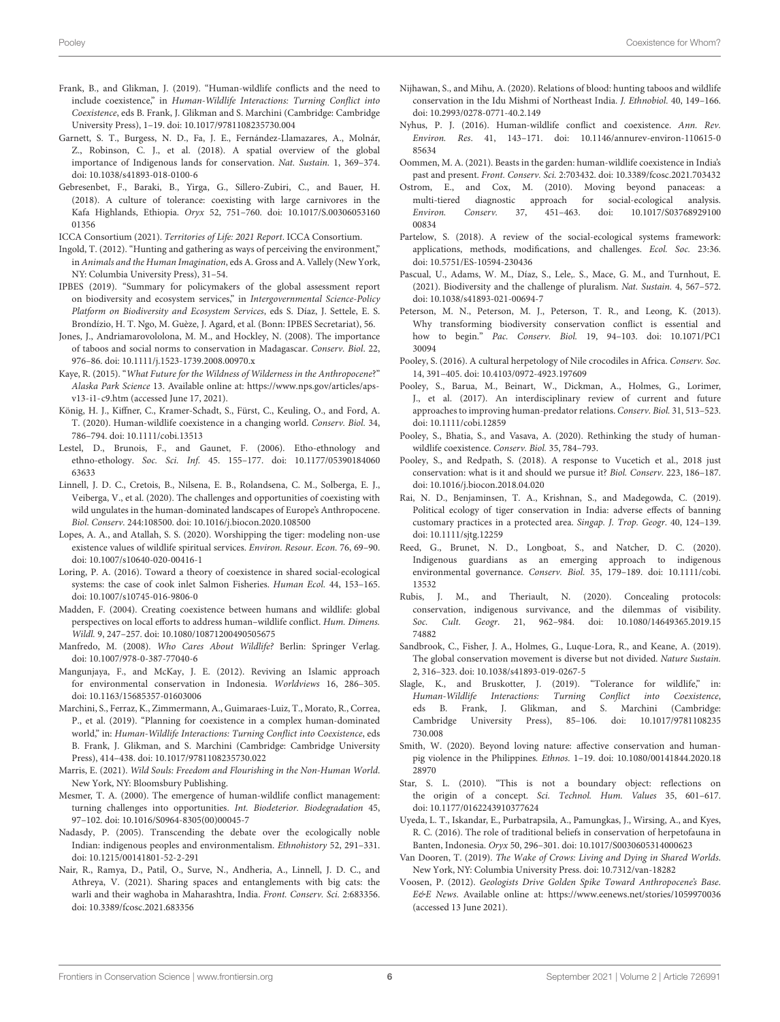- <span id="page-5-2"></span>Frank, B., and Glikman, J. (2019). "Human-wildlife conflicts and the need to include coexistence," in Human-Wildlife Interactions: Turning Conflict into Coexistence, eds B. Frank, J. Glikman and S. Marchini (Cambridge: Cambridge University Press), 1–19. doi: [10.1017/9781108235730.004](https://doi.org/10.1017/9781108235730.004)
- <span id="page-5-38"></span>Garnett, S. T., Burgess, N. D., Fa, J. E., Fernández-Llamazares, A., Molnár, Z., Robinson, C. J., et al. (2018). A spatial overview of the global importance of Indigenous lands for conservation. Nat. Sustain. 1, 369–374. doi: [10.1038/s41893-018-0100-6](https://doi.org/10.1038/s41893-018-0100-6)
- <span id="page-5-34"></span>Gebresenbet, F., Baraki, B., Yirga, G., Sillero-Zubiri, C., and Bauer, H. (2018). A culture of tolerance: coexisting with large carnivores in the Kafa Highlands, Ethiopia. Oryx [52, 751–760. doi: 10.1017/S.00306053160](https://doi.org/10.1017/S.0030605316001356) 01356
- <span id="page-5-39"></span>ICCA Consortium (2021). Territories of Life: 2021 Report. ICCA Consortium.
- <span id="page-5-29"></span>Ingold, T. (2012). "Hunting and gathering as ways of perceiving the environment," in Animals and the Human Imagination, eds A. Gross and A. Vallely (New York, NY: Columbia University Press), 31–54.
- <span id="page-5-5"></span>IPBES (2019). "Summary for policymakers of the global assessment report on biodiversity and ecosystem services," in Intergovernmental Science-Policy Platform on Biodiversity and Ecosystem Services, eds S. Díaz, J. Settele, E. S. Brondízio, H. T. Ngo, M. Guèze, J. Agard, et al. (Bonn: IPBES Secretariat), 56.
- <span id="page-5-26"></span>Jones, J., Andriamarovololona, M. M., and Hockley, N. (2008). The importance of taboos and social norms to conservation in Madagascar. Conserv. Biol. 22, 976–86. doi: [10.1111/j.1523-1739.2008.00970.x](https://doi.org/10.1111/j.1523-1739.2008.00970.x)
- <span id="page-5-36"></span>Kaye, R. (2015). "What Future for the Wildness of Wilderness in the Anthropocene?" Alaska Park Science 13. Available online at: [https://www.nps.gov/articles/aps](https://www.nps.gov/articles/aps-v13-i1-c9.htm)[v13-i1-c9.htm](https://www.nps.gov/articles/aps-v13-i1-c9.htm) (accessed June 17, 2021).
- <span id="page-5-13"></span>König, H. J., Kiffner, C., Kramer-Schadt, S., Fürst, C., Keuling, O., and Ford, A. T. (2020). Human-wildlife coexistence in a changing world. Conserv. Biol. 34, 786–794. doi: [10.1111/cobi.13513](https://doi.org/10.1111/cobi.13513)
- <span id="page-5-40"></span>Lestel, D., Brunois, F., and Gaunet, F. (2006). Etho-ethnology and ethno-ethology. Soc. Sci. Inf. [45. 155–177. doi: 10.1177/05390184060](https://doi.org/10.1177/0539018406063633) 63633
- <span id="page-5-23"></span>Linnell, J. D. C., Cretois, B., Nilsena, E. B., Rolandsena, C. M., Solberga, E. J., Veiberga, V., et al. (2020). The challenges and opportunities of coexisting with wild ungulates in the human-dominated landscapes of Europe's Anthropocene. Biol. Conserv. 244:108500. doi: [10.1016/j.biocon.2020.108500](https://doi.org/10.1016/j.biocon.2020.108500)
- <span id="page-5-28"></span>Lopes, A. A., and Atallah, S. S. (2020). Worshipping the tiger: modeling non-use existence values of wildlife spiritual services. Environ. Resour. Econ. 76, 69–90. doi: [10.1007/s10640-020-00416-1](https://doi.org/10.1007/s10640-020-00416-1)
- <span id="page-5-4"></span>Loring, P. A. (2016). Toward a theory of coexistence in shared social-ecological systems: the case of cook inlet Salmon Fisheries. Human Ecol. 44, 153–165. doi: [10.1007/s10745-016-9806-0](https://doi.org/10.1007/s10745-016-9806-0)
- <span id="page-5-0"></span>Madden, F. (2004). Creating coexistence between humans and wildlife: global perspectives on local efforts to address human–wildlife conflict. Hum. Dimens. Wildl. 9, 247–257. doi: [10.1080/10871200490505675](https://doi.org/10.1080/10871200490505675)
- <span id="page-5-11"></span>Manfredo, M. (2008). Who Cares About Wildlife? Berlin: Springer Verlag. doi: [10.1007/978-0-387-77040-6](https://doi.org/10.1007/978-0-387-77040-6)
- <span id="page-5-35"></span>Mangunjaya, F., and McKay, J. E. (2012). Reviving an Islamic approach for environmental conservation in Indonesia. Worldviews 16, 286–305. doi: [10.1163/15685357-01603006](https://doi.org/10.1163/15685357-01603006)
- <span id="page-5-22"></span>Marchini, S., Ferraz, K., Zimmermann, A., Guimaraes-Luiz, T., Morato, R., Correa, P., et al. (2019). "Planning for coexistence in a complex human-dominated world," in: Human-Wildlife Interactions: Turning Conflict into Coexistence, eds B. Frank, J. Glikman, and S. Marchini (Cambridge: Cambridge University Press), 414–438. doi: [10.1017/9781108235730.022](https://doi.org/10.1017/9781108235730.022)
- <span id="page-5-21"></span>Marris, E. (2021). Wild Souls: Freedom and Flourishing in the Non-Human World. New York, NY: Bloomsbury Publishing.
- <span id="page-5-10"></span>Mesmer, T. A. (2000). The emergence of human-wildlife conflict management: turning challenges into opportunities. Int. Biodeterior. Biodegradation 45, 97–102. doi: [10.1016/S0964-8305\(00\)00045-7](https://doi.org/10.1016/S0964-8305(00)00045-7)
- <span id="page-5-27"></span>Nadasdy, P. (2005). Transcending the debate over the ecologically noble Indian: indigenous peoples and environmentalism. Ethnohistory 52, 291–331. doi: [10.1215/00141801-52-2-291](https://doi.org/10.1215/00141801-52-2-291)
- <span id="page-5-15"></span>Nair, R., Ramya, D., Patil, O., Surve, N., Andheria, A., Linnell, J. D. C., and Athreya, V. (2021). Sharing spaces and entanglements with big cats: the warli and their waghoba in Maharashtra, India. Front. Conserv. Sci. 2:683356. doi: [10.3389/fcosc.2021.683356](https://doi.org/10.3389/fcosc.2021.683356)
- <span id="page-5-14"></span>Nijhawan, S., and Mihu, A. (2020). Relations of blood: hunting taboos and wildlife conservation in the Idu Mishmi of Northeast India. J. Ethnobiol. 40, 149–166. doi: [10.2993/0278-0771-40.2.149](https://doi.org/10.2993/0278-0771-40.2.149)
- <span id="page-5-1"></span>Nyhus, P. J. (2016). Human-wildlife conflict and coexistence. Ann. Rev. Environ. Res[. 41, 143–171. doi: 10.1146/annurev-environ-110615-0](https://doi.org/10.1146/annurev-environ-110615-085634) 85634
- <span id="page-5-16"></span>Oommen, M. A. (2021). Beasts in the garden: human-wildlife coexistence in India's past and present. Front. Conserv. Sci. 2:703432. doi: [10.3389/fcosc.2021.703432](https://doi.org/10.3389/fcosc.2021.703432)
- <span id="page-5-7"></span>Ostrom, E., and Cox, M. (2010). Moving beyond panaceas: a multi-tiered diagnostic approach for social-ecological analysis.<br> *Environ.* Conserv. 37, 451-463. doi: 10.1017/S03768929100 Environ. Conserv. [37, 451–463. doi: 10.1017/S03768929100](https://doi.org/10.1017/S0376892910000834) 00834
- <span id="page-5-8"></span>Partelow, S. (2018). A review of the social-ecological systems framework: applications, methods, modifications, and challenges. Ecol. Soc. 23:36. doi: [10.5751/ES-10594-230436](https://doi.org/10.5751/ES-10594-230436)
- <span id="page-5-37"></span>Pascual, U., Adams, W. M., Díaz, S., Lele,. S., Mace, G. M., and Turnhout, E. (2021). Biodiversity and the challenge of pluralism. Nat. Sustain. 4, 567–572. doi: [10.1038/s41893-021-00694-7](https://doi.org/10.1038/s41893-021-00694-7)
- <span id="page-5-3"></span>Peterson, M. N., Peterson, M. J., Peterson, T. R., and Leong, K. (2013). Why transforming biodiversity conservation conflict is essential and how to begin." Pac. Conserv. Biol. [19, 94–103. doi: 10.1071/PC1](https://doi.org/10.1071/PC130094) 30094
- <span id="page-5-24"></span>Pooley, S. (2016). A cultural herpetology of Nile crocodiles in Africa. Conserv. Soc. 14, 391–405. doi: [10.4103/0972-4923.197609](https://doi.org/10.4103/0972-4923.197609)
- <span id="page-5-6"></span>Pooley, S., Barua, M., Beinart, W., Dickman, A., Holmes, G., Lorimer, J., et al. (2017). An interdisciplinary review of current and future approaches to improving human-predator relations. Conserv. Biol. 31, 513–523. doi: [10.1111/cobi.12859](https://doi.org/10.1111/cobi.12859)
- <span id="page-5-25"></span>Pooley, S., Bhatia, S., and Vasava, A. (2020). Rethinking the study of humanwildlife coexistence. Conserv. Biol. 35, 784–793.
- <span id="page-5-20"></span>Pooley, S., and Redpath, S. (2018). A response to Vucetich et al., 2018 just conservation: what is it and should we pursue it? Biol. Conserv. 223, 186–187. doi: [10.1016/j.biocon.2018.04.020](https://doi.org/10.1016/j.biocon.2018.04.020)
- <span id="page-5-30"></span>Rai, N. D., Benjaminsen, T. A., Krishnan, S., and Madegowda, C. (2019). Political ecology of tiger conservation in India: adverse effects of banning customary practices in a protected area. Singap. J. Trop. Geogr. 40, 124–139. doi: [10.1111/sjtg.12259](https://doi.org/10.1111/sjtg.12259)
- <span id="page-5-31"></span>Reed, G., Brunet, N. D., Longboat, S., and Natcher, D. C. (2020). Indigenous guardians as an emerging approach to indigenous environmental governance. Conserv. Biol. [35, 179–189. doi: 10.1111/cobi.](https://doi.org/10.1111/cobi.13532) 13532
- <span id="page-5-18"></span>Rubis, J. M., and Theriault, N. (2020). Concealing protocols: conservation, indigenous survivance, and the dilemmas of visibility. Soc. Cult. Geogr[. 21, 962–984. doi: 10.1080/14649365.2019.15](https://doi.org/10.1080/14649365.2019.1574882) 74882
- <span id="page-5-32"></span>Sandbrook, C., Fisher, J. A., Holmes, G., Luque-Lora, R., and Keane, A. (2019). The global conservation movement is diverse but not divided. Nature Sustain. 2, 316–323. doi: [10.1038/s41893-019-0267-5](https://doi.org/10.1038/s41893-019-0267-5)
- <span id="page-5-17"></span>Slagle, K., and Bruskotter, J. (2019). "Tolerance for wildlife," in: Human-Wildlife Interactions: Turning Conflict into Coexistence, eds B. Frank, J. Glikman, and S. Marchini (Cambridge: [Cambridge University Press\), 85–106. doi: 10.1017/9781108235](https://doi.org/10.1017/9781108235730.008) 730.008
- <span id="page-5-19"></span>Smith, W. (2020). Beyond loving nature: affective conservation and humanpig violence in the Philippines. Ethnos. [1–19. doi: 10.1080/00141844.2020.18](https://doi.org/10.1080/00141844.2020.1828970) 28970
- <span id="page-5-9"></span>Star, S. L. (2010). "This is not a boundary object: reflections on the origin of a concept. Sci. Technol. Hum. Values 35, 601–617. doi: [10.1177/0162243910377624](https://doi.org/10.1177/0162243910377624)
- <span id="page-5-33"></span>Uyeda, L. T., Iskandar, E., Purbatrapsila, A., Pamungkas, J., Wirsing, A., and Kyes, R. C. (2016). The role of traditional beliefs in conservation of herpetofauna in Banten, Indonesia. Oryx 50, 296–301. doi: [10.1017/S0030605314000623](https://doi.org/10.1017/S0030605314000623)
- <span id="page-5-41"></span>Van Dooren, T. (2019). The Wake of Crows: Living and Dying in Shared Worlds. New York, NY: Columbia University Press. doi: [10.7312/van-18282](https://doi.org/10.7312/van-18282)
- <span id="page-5-12"></span>Voosen, P. (2012). Geologists Drive Golden Spike Toward Anthropocene's Base. E&E News. Available online at:<https://www.eenews.net/stories/1059970036> (accessed 13 June 2021).